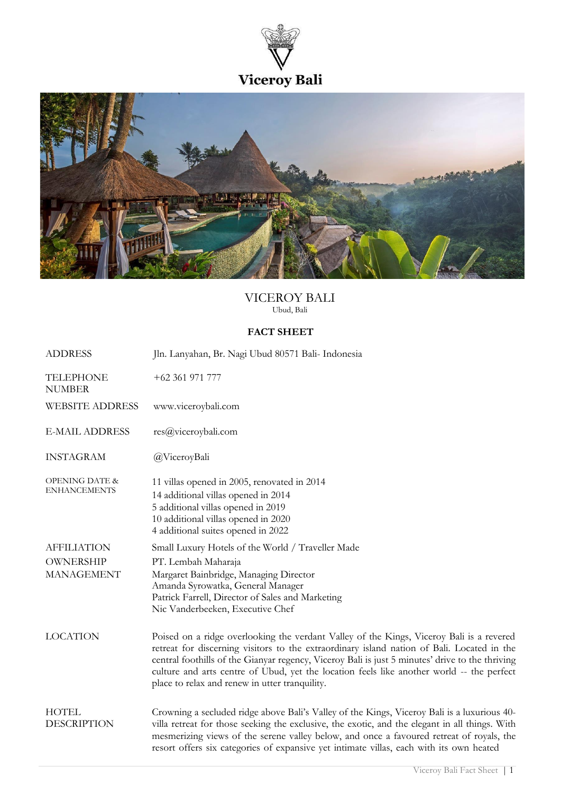



# VICEROY BALI Ubud, Bali

## **FACT SHEET**

| <b>ADDRESS</b>                                              | Jln. Lanyahan, Br. Nagi Ubud 80571 Bali- Indonesia                                                                                                                                                                                                                                                                                                                                                                                       |
|-------------------------------------------------------------|------------------------------------------------------------------------------------------------------------------------------------------------------------------------------------------------------------------------------------------------------------------------------------------------------------------------------------------------------------------------------------------------------------------------------------------|
| <b>TELEPHONE</b><br><b>NUMBER</b>                           | $+62361971777$                                                                                                                                                                                                                                                                                                                                                                                                                           |
| <b>WEBSITE ADDRESS</b>                                      | www.viceroybali.com                                                                                                                                                                                                                                                                                                                                                                                                                      |
| <b>E-MAIL ADDRESS</b>                                       | res@viceroybali.com                                                                                                                                                                                                                                                                                                                                                                                                                      |
| <b>INSTAGRAM</b>                                            | @ViceroyBali                                                                                                                                                                                                                                                                                                                                                                                                                             |
| <b>OPENING DATE &amp;</b><br><b>ENHANCEMENTS</b>            | 11 villas opened in 2005, renovated in 2014<br>14 additional villas opened in 2014<br>5 additional villas opened in 2019<br>10 additional villas opened in 2020<br>4 additional suites opened in 2022                                                                                                                                                                                                                                    |
| <b>AFFILIATION</b><br><b>OWNERSHIP</b><br><b>MANAGEMENT</b> | Small Luxury Hotels of the World / Traveller Made<br>PT. Lembah Maharaja<br>Margaret Bainbridge, Managing Director<br>Amanda Syrowatka, General Manager<br>Patrick Farrell, Director of Sales and Marketing<br>Nic Vanderbeeken, Executive Chef                                                                                                                                                                                          |
| <b>LOCATION</b>                                             | Poised on a ridge overlooking the verdant Valley of the Kings, Viceroy Bali is a revered<br>retreat for discerning visitors to the extraordinary island nation of Bali. Located in the<br>central foothills of the Gianyar regency, Viceroy Bali is just 5 minutes' drive to the thriving<br>culture and arts centre of Ubud, yet the location feels like another world -- the perfect<br>place to relax and renew in utter tranquility. |
| <b>HOTEL</b><br><b>DESCRIPTION</b>                          | Crowning a secluded ridge above Bali's Valley of the Kings, Viceroy Bali is a luxurious 40-<br>villa retreat for those seeking the exclusive, the exotic, and the elegant in all things. With<br>mesmerizing views of the serene valley below, and once a favoured retreat of royals, the<br>resort offers six categories of expansive yet intimate villas, each with its own heated                                                     |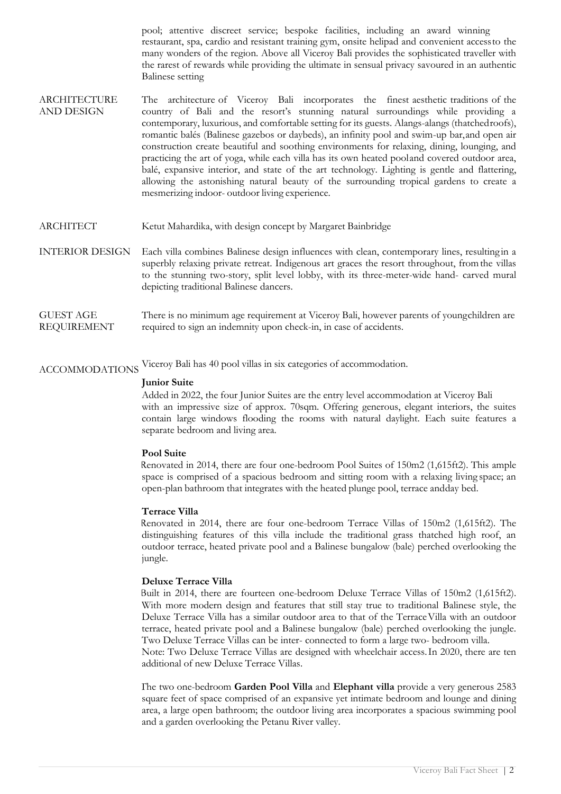pool; attentive discreet service; bespoke facilities, including an award winning restaurant, spa, cardio and resistant training gym, onsite helipad and convenient accessto the many wonders of the region. Above all Viceroy Bali provides the sophisticated traveller with the rarest of rewards while providing the ultimate in sensual privacy savoured in an authentic Balinese setting

- ARCHITECTURE AND DESIGN The architecture of Viceroy Bali incorporates the finest aesthetic traditions of the country of Bali and the resort's stunning natural surroundings while providing a contemporary, luxurious, and comfortable setting for its guests. Alangs-alangs (thatchedroofs), romantic balés (Balinese gazebos or daybeds), an infinity pool and swim-up bar,and open air construction create beautiful and soothing environments for relaxing, dining, lounging, and practicing the art of yoga, while each villa has its own heated pooland covered outdoor area, balé, expansive interior, and state of the art technology. Lighting is gentle and flattering, allowing the astonishing natural beauty of the surrounding tropical gardens to create a mesmerizing indoor- outdoor living experience.
- ARCHITECT Ketut Mahardika, with design concept by Margaret Bainbridge
- INTERIOR DESIGN Each villa combines Balinese design influences with clean, contemporary lines, resulting in a superbly relaxing private retreat. Indigenous art graces the resort throughout, fromthe villas to the stunning two-story, split level lobby, with its three-meter-wide hand- carved mural depicting traditional Balinese dancers.
- GUEST AGE REQUIREMENT There is no minimum age requirement at Viceroy Bali, however parents of youngchildren are required to sign an indemnity upon check-in, in case of accidents.

ACCOMMODATIONS Viceroy Bali has <sup>40</sup> pool villas in six categories of accommodation.

#### **Junior Suite**

Added in 2022, the four Junior Suites are the entry level accommodation at Viceroy Bali with an impressive size of approx. 70sqm. Offering generous, elegant interiors, the suites contain large windows flooding the rooms with natural daylight. Each suite features a separate bedroom and living area.

## **Pool Suite**

Renovated in 2014, there are four one-bedroom Pool Suites of 150m2 (1,615ft2). This ample space is comprised of a spacious bedroom and sitting room with a relaxing living space; an open-plan bathroom that integrates with the heated plunge pool, terrace andday bed.

## **Terrace Villa**

Renovated in 2014, there are four one-bedroom Terrace Villas of 150m2 (1,615ft2). The distinguishing features of this villa include the traditional grass thatched high roof, an outdoor terrace, heated private pool and a Balinese bungalow (bale) perched overlooking the jungle.

## **Deluxe Terrace Villa**

Built in 2014, there are fourteen one-bedroom Deluxe Terrace Villas of 150m2 (1,615ft2). With more modern design and features that still stay true to traditional Balinese style, the Deluxe Terrace Villa has a similar outdoor area to that of the TerraceVilla with an outdoor terrace, heated private pool and a Balinese bungalow (bale) perched overlooking the jungle. Two Deluxe Terrace Villas can be inter- connected to form a large two- bedroom villa.

Note: Two Deluxe Terrace Villas are designed with wheelchair access.In 2020, there are ten additional of new Deluxe Terrace Villas.

The two one-bedroom **Garden Pool Villa** and **Elephant villa** provide a very generous 2583 square feet of space comprised of an expansive yet intimate bedroom and lounge and dining area, a large open bathroom; the outdoor living area incorporates a spacious swimming pool and a garden overlooking the Petanu River valley.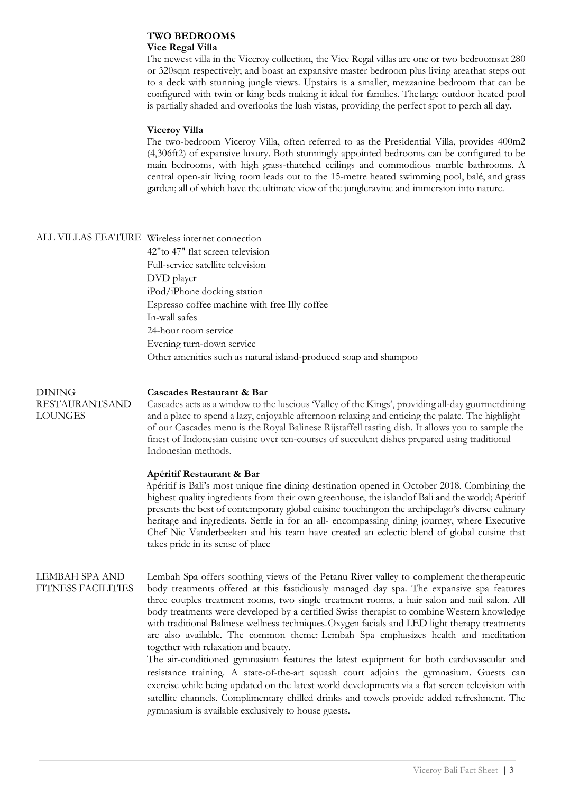#### **TWO BEDROOMS Vice Regal Villa**

The newest villa in the Viceroy collection, the Vice Regal villas are one or two bedroomsat 280 or 320sqm respectively; and boast an expansive master bedroom plus living areathat steps out to a deck with stunning jungle views. Upstairs is a smaller, mezzanine bedroom that can be configured with twin or king beds making it ideal for families. The large outdoor heated pool is partially shaded and overlooks the lush vistas, providing the perfect spot to perch all day.

## **Viceroy Villa**

The two-bedroom Viceroy Villa, often referred to as the Presidential Villa, provides 400m2 (4,306ft2) of expansive luxury. Both stunningly appointed bedrooms can be configured to be main bedrooms, with high grass-thatched ceilings and commodious marble bathrooms. A central open-air living room leads out to the 15-metre heated swimming pool, balé, and grass garden; all of which have the ultimate view of the jungleravine and immersion into nature.

|  | VILLAS FEATURE Wireless internet connection                      |
|--|------------------------------------------------------------------|
|  | 42" to 47" flat screen television                                |
|  | Full-service satellite television                                |
|  | DVD player                                                       |
|  | iPod/iPhone docking station                                      |
|  | Espresso coffee machine with free Illy coffee                    |
|  | In-wall safes                                                    |
|  | 24-hour room service                                             |
|  | Evening turn-down service                                        |
|  | Other amenities such as natural island-produced soap and shampoo |

DINING RESTAURANTSAND LOUNGES

### **Cascades Restaurant & Bar**

Cascades acts as a window to the luscious 'Valley of the Kings', providing all-day gourmetdining and a place to spend a lazy, enjoyable afternoon relaxing and enticing the palate. The highlight of our Cascades menu is the Royal Balinese Rijstaffell tasting dish. It allows you to sample the finest of Indonesian cuisine over ten-courses of succulent dishes prepared using traditional Indonesian methods.

## **Apéritif Restaurant & Bar**

Apéritif is Bali's most unique fine dining destination opened in October 2018. Combining the highest quality ingredients from their own greenhouse, the islandof Bali and the world; Apéritif presents the best of contemporary global cuisine touchingon the archipelago's diverse culinary heritage and ingredients. Settle in for an all- encompassing dining journey, where Executive Chef Nic Vanderbeeken and his team have created an eclectic blend of global cuisine that takes pride in its sense of place

LEMBAH SPA AND FITNESS FACILITIES Lembah Spa offers soothing views of the Petanu River valley to complement thetherapeutic body treatments offered at this fastidiously managed day spa. The expansive spa features three couples treatment rooms, two single treatment rooms, a hair salon and nail salon. All body treatments were developed by a certified Swiss therapist to combine Western knowledge with traditional Balinese wellness techniques.Oxygen facials and LED light therapy treatments are also available. The common theme: Lembah Spa emphasizes health and meditation together with relaxation and beauty.

The air-conditioned gymnasium features the latest equipment for both cardiovascular and resistance training. A state-of-the-art squash court adjoins the gymnasium. Guests can exercise while being updated on the latest world developments via a flat screen television with satellite channels. Complimentary chilled drinks and towels provide added refreshment. The gymnasium is available exclusively to house guests.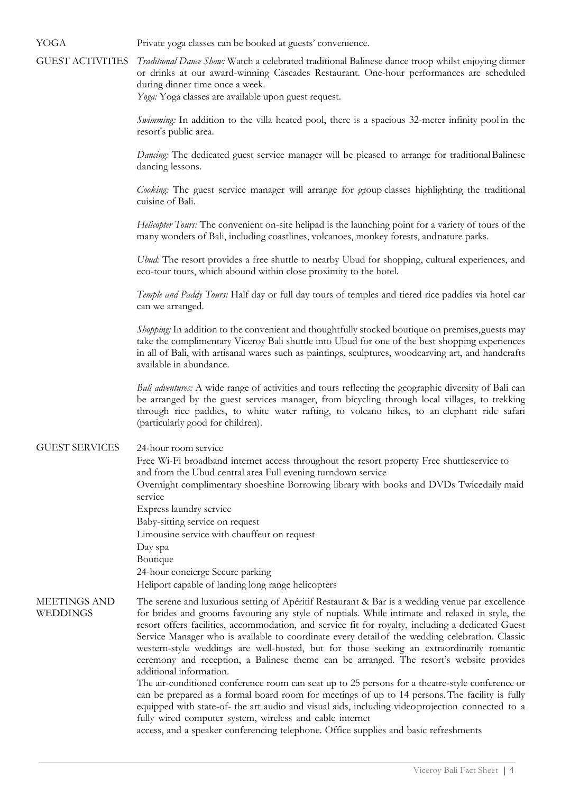GUEST ACTIVITIES *Traditional Dance Show:* Watch a celebrated traditional Balinese dance troop whilst enjoying dinner or drinks at our award-winning Cascades Restaurant. One-hour performances are scheduled during dinner time once a week. *Yoga:* Yoga classes are available upon guest request. *Swimming:* In addition to the villa heated pool, there is a spacious 32-meter infinity pool in the resort's public area. *Dancing*: The dedicated guest service manager will be pleased to arrange for traditional Balinese dancing lessons. *Cooking:* The guest service manager will arrange for group classes highlighting the traditional cuisine of Bali. *Helicopter Tours:* The convenient on-site helipad is the launching point for a variety of tours of the many wonders of Bali, including coastlines, volcanoes, monkey forests, andnature parks. *Ubud:* The resort provides a free shuttle to nearby Ubud for shopping, cultural experiences, and eco-tour tours, which abound within close proximity to the hotel. *Temple and Paddy Tours:* Half day or full day tours of temples and tiered rice paddies via hotel car can we arranged. *Shopping:* In addition to the convenient and thoughtfully stocked boutique on premises,guests may take the complimentary Viceroy Bali shuttle into Ubud for one of the best shopping experiences in all of Bali, with artisanal wares such as paintings, sculptures, woodcarving art, and handcrafts available in abundance. *Bali adventures:* A wide range of activities and tours reflecting the geographic diversity of Bali can be arranged by the guest services manager, from bicycling through local villages, to trekking through rice paddies, to white water rafting, to volcano hikes, to an elephant ride safari (particularly good for children). GUEST SERVICES • 24-hour room service • Free Wi-Fi broadband internet access throughout the resort property Free shuttleservice to and from the Ubud central area Full evening turndown service • Overnight complimentary shoeshine Borrowing library with books and DVDs Twicedaily maid service Express laundry service Baby-sitting service on request Limousine service with chauffeur on request Day spa • Boutique 24-hour concierge Secure parking • Heliport capable of landing long range helicopters MEETINGS AND WEDDINGS The serene and luxurious setting of Apéritif Restaurant & Bar is a wedding venue par excellence for brides and grooms favouring any style of nuptials. While intimate and relaxed in style, the resort offers facilities, accommodation, and service fit for royalty, including a dedicated Guest Service Manager who is available to coordinate every detail of the wedding celebration. Classic western-style weddings are well-hosted, but for those seeking an extraordinarily romantic ceremony and reception, a Balinese theme can be arranged. The resort's website provides additional information. The air-conditioned conference room can seat up to 25 persons for a theatre-style conference or can be prepared as a formal board room for meetings of up to 14 persons.The facility is fully equipped with state-of- the art audio and visual aids, including videoprojection connected to a

YOGA Private yoga classes can be booked at guests' convenience.

access, and a speaker conferencing telephone. Office supplies and basic refreshments

fully wired computer system, wireless and cable internet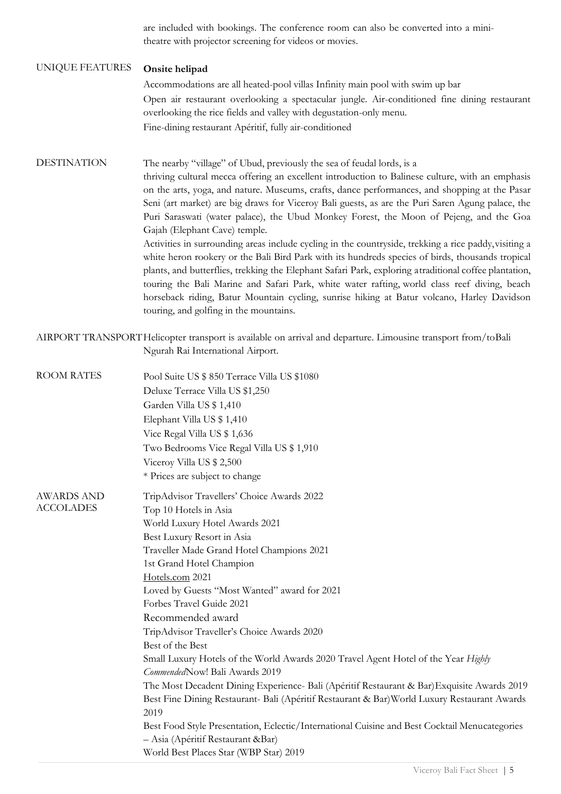are included with bookings. The conference room can also be converted into a minitheatre with projector screening for videos or movies.

# UNIQUE FEATURES• **Onsite helipad**

• Accommodations are all heated-pool villas Infinity main pool with swim up bar • Open air restaurant overlooking a spectacular jungle. Air-conditioned fine dining restaurant overlooking the rice fields and valley with degustation-only menu. • Fine-dining restaurant Apéritif, fully air-conditioned

DESTINATION The nearby "village" of Ubud, previously the sea of feudal lords, is a thriving cultural mecca offering an excellent introduction to Balinese culture, with an emphasis on the arts, yoga, and nature. Museums, crafts, dance performances, and shopping at the Pasar Seni (art market) are big draws for Viceroy Bali guests, as are the Puri Saren Agung palace, the Puri Saraswati (water palace), the Ubud Monkey Forest, the Moon of Pejeng, and the Goa Gajah (Elephant Cave) temple. Activities in surrounding areas include cycling in the countryside, trekking a rice paddy, visiting a

white heron rookery or the Bali Bird Park with its hundreds species of birds, thousands tropical plants, and butterflies, trekking the Elephant Safari Park, exploring atraditional coffee plantation, touring the Bali Marine and Safari Park, white water rafting, world class reef diving, beach horseback riding, Batur Mountain cycling, sunrise hiking at Batur volcano, Harley Davidson touring, and golfing in the mountains.

AIRPORT TRANSPORTHelicopter transport is available on arrival and departure. Limousine transport from/toBali Ngurah Rai International Airport.

| <b>ROOM RATES</b>                     | Pool Suite US \$ 850 Terrace Villa US \$1080                                                                                        |
|---------------------------------------|-------------------------------------------------------------------------------------------------------------------------------------|
|                                       | Deluxe Terrace Villa US \$1,250                                                                                                     |
|                                       | Garden Villa US \$ 1,410                                                                                                            |
|                                       | Elephant Villa US \$1,410                                                                                                           |
|                                       | Vice Regal Villa US \$1,636                                                                                                         |
|                                       | Two Bedrooms Vice Regal Villa US \$1,910                                                                                            |
|                                       | Viceroy Villa US \$2,500                                                                                                            |
|                                       | * Prices are subject to change                                                                                                      |
| <b>AWARDS AND</b><br><b>ACCOLADES</b> | TripAdvisor Travellers' Choice Awards 2022                                                                                          |
|                                       | Top 10 Hotels in Asia                                                                                                               |
|                                       | World Luxury Hotel Awards 2021                                                                                                      |
|                                       | Best Luxury Resort in Asia                                                                                                          |
|                                       | Traveller Made Grand Hotel Champions 2021                                                                                           |
|                                       | 1st Grand Hotel Champion                                                                                                            |
|                                       | Hotels.com 2021                                                                                                                     |
|                                       | Loved by Guests "Most Wanted" award for 2021                                                                                        |
|                                       | Forbes Travel Guide 2021                                                                                                            |
|                                       | Recommended award                                                                                                                   |
|                                       | TripAdvisor Traveller's Choice Awards 2020                                                                                          |
|                                       | Best of the Best                                                                                                                    |
|                                       | Small Luxury Hotels of the World Awards 2020 Travel Agent Hotel of the Year Highly                                                  |
|                                       | CommendedNow! Bali Awards 2019                                                                                                      |
|                                       | The Most Decadent Dining Experience- Bali (Apéritif Restaurant & Bar) Exquisite Awards 2019                                         |
|                                       | Best Fine Dining Restaurant- Bali (Apéritif Restaurant & Bar) World Luxury Restaurant Awards<br>2019                                |
|                                       | Best Food Style Presentation, Eclectic/International Cuisine and Best Cocktail Menucategories<br>- Asia (Apéritif Restaurant & Bar) |
|                                       | World Best Places Star (WBP Star) 2019                                                                                              |